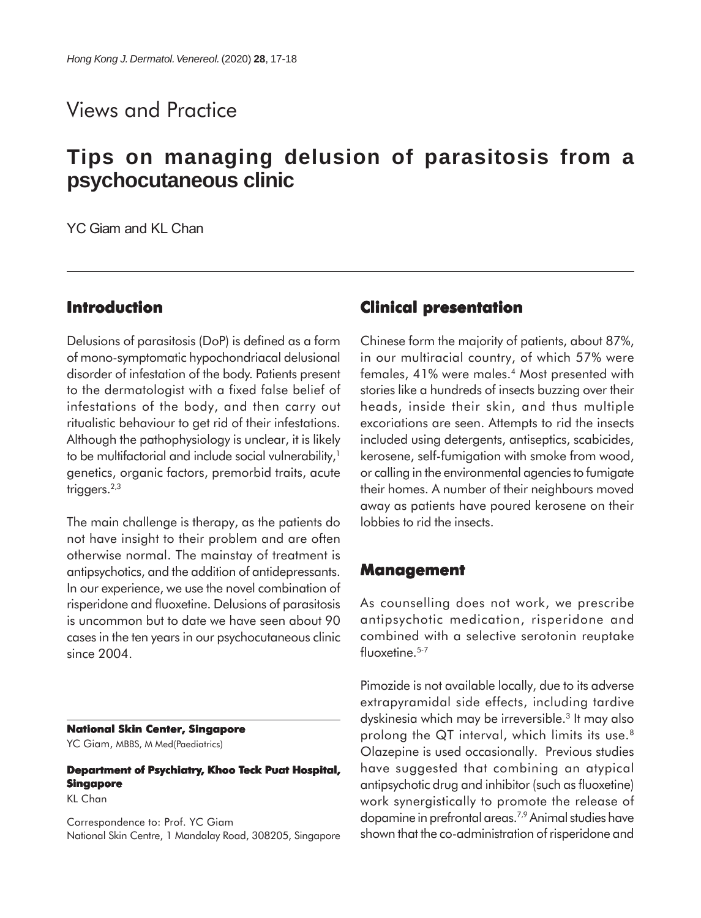## Views and Practice

# **Tips on managing delusion of parasitosis from a psychocutaneous clinic**

YC Giam and KL Chan

### **Introduction**

Delusions of parasitosis (DoP) is defined as a form of mono-symptomatic hypochondriacal delusional disorder of infestation of the body. Patients present to the dermatologist with a fixed false belief of infestations of the body, and then carry out ritualistic behaviour to get rid of their infestations. Although the pathophysiology is unclear, it is likely to be multifactorial and include social vulnerability,<sup>1</sup> genetics, organic factors, premorbid traits, acute triggers.<sup>2,3</sup>

The main challenge is therapy, as the patients do not have insight to their problem and are often otherwise normal. The mainstay of treatment is antipsychotics, and the addition of antidepressants. In our experience, we use the novel combination of risperidone and fluoxetine. Delusions of parasitosis is uncommon but to date we have seen about 90 cases in the ten years in our psychocutaneous clinic since 2004.

#### **National Skin Center, Singapore**

YC Giam, MBBS, M Med(Paediatrics)

#### **Department of Psychiatry, Khoo Teck Puat Hospital, Singapore**

KL Chan

Correspondence to: Prof. YC Giam National Skin Centre, 1 Mandalay Road, 308205, Singapore

#### **Clinical presentation**

Chinese form the majority of patients, about 87%, in our multiracial country, of which 57% were females, 41% were males.4 Most presented with stories like a hundreds of insects buzzing over their heads, inside their skin, and thus multiple excoriations are seen. Attempts to rid the insects included using detergents, antiseptics, scabicides, kerosene, self-fumigation with smoke from wood, or calling in the environmental agencies to fumigate their homes. A number of their neighbours moved away as patients have poured kerosene on their lobbies to rid the insects.

#### **Management**

As counselling does not work, we prescribe antipsychotic medication, risperidone and combined with a selective serotonin reuptake  $fluoxetime.$ <sup>5-7</sup>

Pimozide is not available locally, due to its adverse extrapyramidal side effects, including tardive dyskinesia which may be irreversible.3 It may also prolong the QT interval, which limits its use.8 Olazepine is used occasionally. Previous studies have suggested that combining an atypical antipsychotic drug and inhibitor (such as fluoxetine) work synergistically to promote the release of dopamine in prefrontal areas.7,9 Animal studies have shown that the co-administration of risperidone and